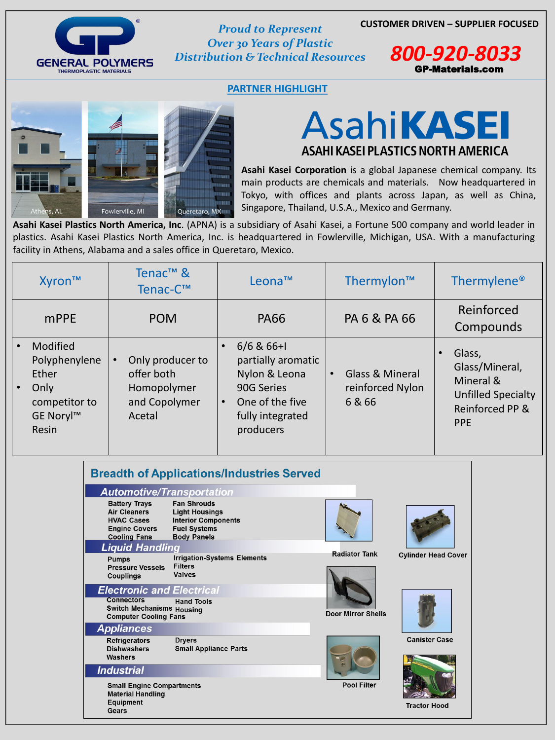### **CUSTOMER DRIVEN – SUPPLIER FOCUSED** *Proud to Represent*



*Over 30 Years of Plastic Distribution & Technical Resources 800-920-8033*

### **PARTNER HIGHLIGHT**



### **AsahiKASEI** ASAHI KASEI PLASTICS NORTH AMERICA

GP-Materials.com

**Asahi Kasei Corporation** is a global Japanese chemical company. Its main products are chemicals and materials. Now headquartered in Tokyo, with offices and plants across Japan, as well as China, Singapore, Thailand, U.S.A., Mexico and Germany.

**Asahi Kasei Plastics North America, Inc**. (APNA) is a subsidiary of Asahi Kasei, a Fortune 500 company and world leader in plastics. Asahi Kasei Plastics North America, Inc. is headquartered in Fowlerville, Michigan, USA. With a manufacturing facility in Athens, Alabama and a sales office in Queretaro, Mexico.

| Xyron™                                                                                   | Tenac <sup>™</sup> &<br>Tenac-C™                                                      | Leona™                                                                                                                             | Thermylon™                                               | Thermylene <sup>®</sup>                                                                             |
|------------------------------------------------------------------------------------------|---------------------------------------------------------------------------------------|------------------------------------------------------------------------------------------------------------------------------------|----------------------------------------------------------|-----------------------------------------------------------------------------------------------------|
| mPPE                                                                                     | <b>POM</b>                                                                            | <b>PA66</b>                                                                                                                        | PA 6 & PA 66                                             | Reinforced<br>Compounds                                                                             |
| <b>Modified</b><br>Polyphenylene<br>Ether<br>Only<br>competitor to<br>GE Noryl™<br>Resin | Only producer to<br>$\bullet$<br>offer both<br>Homopolymer<br>and Copolymer<br>Acetal | $6/6$ & 66+1<br>partially aromatic<br>Nylon & Leona<br>90G Series<br>One of the five<br>$\bullet$<br>fully integrated<br>producers | <b>Glass &amp; Mineral</b><br>reinforced Nylon<br>6 & 66 | Glass,<br>Glass/Mineral,<br>Mineral &<br><b>Unfilled Specialty</b><br>Reinforced PP &<br><b>PPE</b> |

#### **Breadth of Applications/Industries Served Automotive/Transportation Battery Trays Fan Shrouds Air Cleaners Light Housings**

| IIVAV VUJLJ<br><b>Engine Covers</b><br><b>Cooling Fans</b>                            | <b>INGHOL OVINDUIGHT</b><br><b>Fuel Systems</b><br><b>Body Panels</b> |                           |                            |
|---------------------------------------------------------------------------------------|-----------------------------------------------------------------------|---------------------------|----------------------------|
| <b>Liquid Handling</b>                                                                |                                                                       |                           |                            |
| <b>Pumps</b><br><b>Pressure Vessels</b><br><b>Couplings</b>                           | <b>Irrigation-Systems Elements</b><br><b>Filters</b><br><b>Valves</b> | <b>Radiator Tank</b>      | <b>Cylinder Head Cover</b> |
| <b>Electronic and Electrical</b>                                                      |                                                                       |                           |                            |
| <b>Connectors</b><br><b>Switch Mechanisms Housing</b><br><b>Computer Cooling Fans</b> | <b>Hand Tools</b>                                                     | <b>Door Mirror Shells</b> |                            |
| <b>Appliances</b>                                                                     |                                                                       |                           |                            |
| <b>Refrigerators</b><br><b>Dishwashers</b><br><b>Washers</b>                          | <b>Dryers</b><br><b>Small Appliance Parts</b>                         |                           | <b>Canister Case</b>       |
| <b>Industrial</b>                                                                     |                                                                       |                           |                            |
| <b>Small Engine Compartments</b><br><b>Material Handling</b>                          |                                                                       | <b>Pool Filter</b>        |                            |
| <b>Equipment</b><br>Gears                                                             |                                                                       |                           | <b>Tractor Hood</b>        |